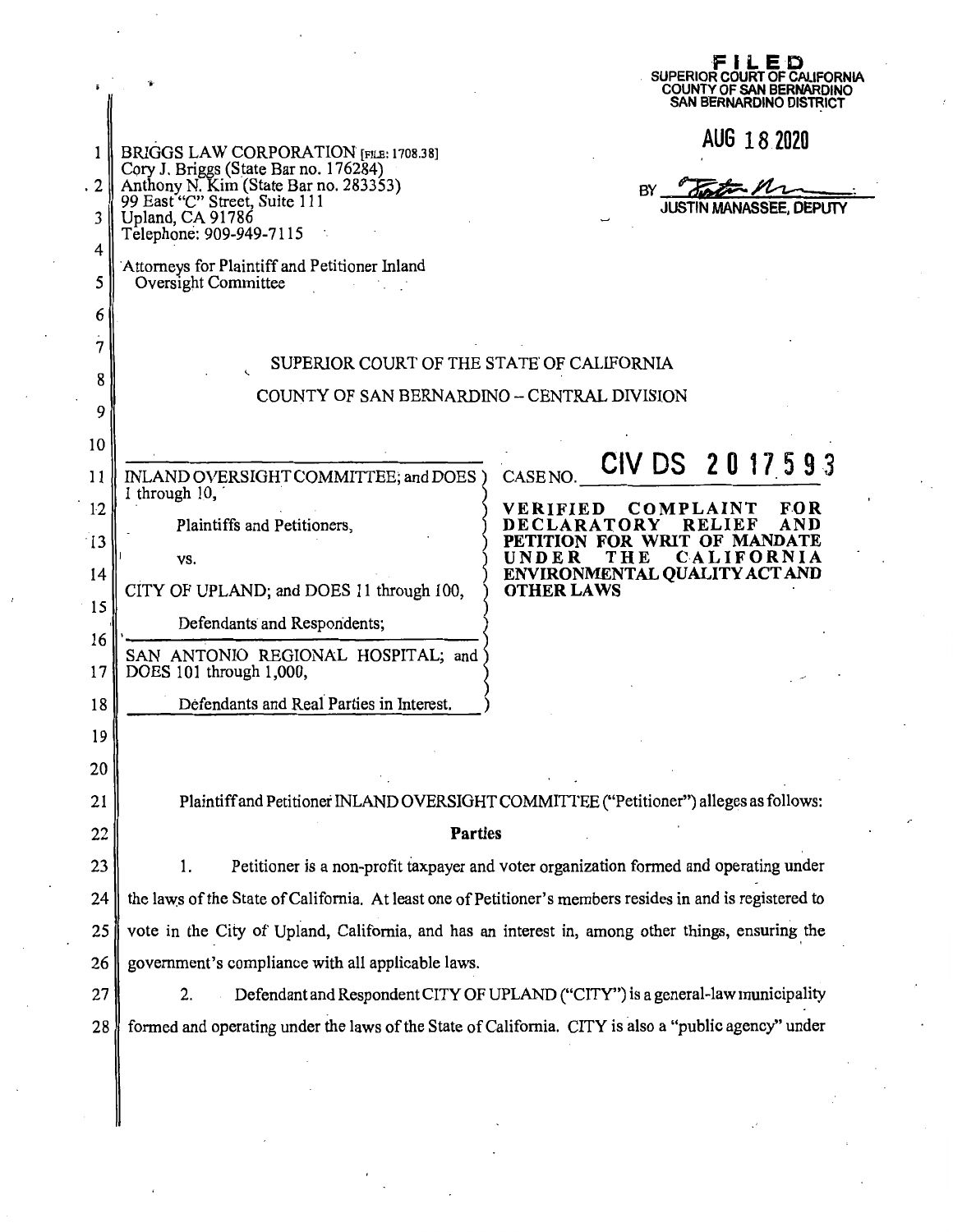|             |                                                                                                                                                                                                               | E D<br>SUPERIOR COURT OF CALIFORNIA<br>COUNTY OF SAN BERNARDINO<br>SAN BERNARDINO DISTRICT                                  |  |  |
|-------------|---------------------------------------------------------------------------------------------------------------------------------------------------------------------------------------------------------------|-----------------------------------------------------------------------------------------------------------------------------|--|--|
| 2           | BRIGGS LAW CORPORATION [FILE: 1708.38]<br>Cory J. Briggs (State Bar no. 176284)<br>Anthony N. Kim (State Bar no. 283353)                                                                                      | AUG 18 2020<br>BY                                                                                                           |  |  |
| 3<br>4<br>5 | 99 East "C" Street, Suite 111<br>Upland, CA 91786<br>Telephone: 909-949-7115<br>Attorneys for Plaintiff and Petitioner Inland<br>Oversight Committee                                                          | <b>JUSTIN MANASSEE, DEPUTY</b>                                                                                              |  |  |
| 6<br>7<br>8 | SUPERIOR COURT OF THE STATE OF CALIFORNIA<br>COUNTY OF SAN BERNARDINO -- CENTRAL DIVISION                                                                                                                     |                                                                                                                             |  |  |
| 9<br>10     |                                                                                                                                                                                                               |                                                                                                                             |  |  |
| 11<br>12    | INLAND OVERSIGHT COMMITTEE; and DOES)<br>1 through 10,                                                                                                                                                        | CIV DS 2017593<br><b>CASE NO</b><br>COMPLAINT<br>VERIFIED<br>FO R                                                           |  |  |
| 13<br>14    | Plaintiffs and Petitioners,<br>VS.                                                                                                                                                                            | AND<br>RELIEF<br>DECLARATORY<br>WRIT OF MANDATE<br>TTION FOR<br>THE<br>CALIFORNIA<br>UNDER<br>ENVIRONMENTAL QUALITY ACT AND |  |  |
| 15<br>16    | CITY OF UPLAND; and DOES 11 through 100,<br>Defendants and Respondents;                                                                                                                                       | <b>OTHER LAWS</b>                                                                                                           |  |  |
| 17<br>18    | SAN ANTONIO REGIONAL HOSPITAL; and<br>DOES 101 through 1,000,<br>Defendants and Real Parties in Interest.                                                                                                     |                                                                                                                             |  |  |
| 19<br>20    |                                                                                                                                                                                                               |                                                                                                                             |  |  |
| 21<br>22    | Plaintiff and Petitioner INLAND OVERSIGHT COMMITTEE ("Petitioner") alleges as follows:                                                                                                                        |                                                                                                                             |  |  |
| 23          | Parties<br>Petitioner is a non-profit taxpayer and voter organization formed and operating under<br>1.                                                                                                        |                                                                                                                             |  |  |
| 24<br>25    | the laws of the State of California. At least one of Petitioner's members resides in and is registered to<br>vote in the City of Upland, California, and has an interest in, among other things, ensuring the |                                                                                                                             |  |  |
| 26          | government's compliance with all applicable laws.                                                                                                                                                             |                                                                                                                             |  |  |
| 27<br>28    | Defendant and Respondent CITY OF UPLAND ("CITY") is a general-law municipality<br>2.<br>formed and operating under the laws of the State of California. CITY is also a "public agency" under                  |                                                                                                                             |  |  |
|             |                                                                                                                                                                                                               |                                                                                                                             |  |  |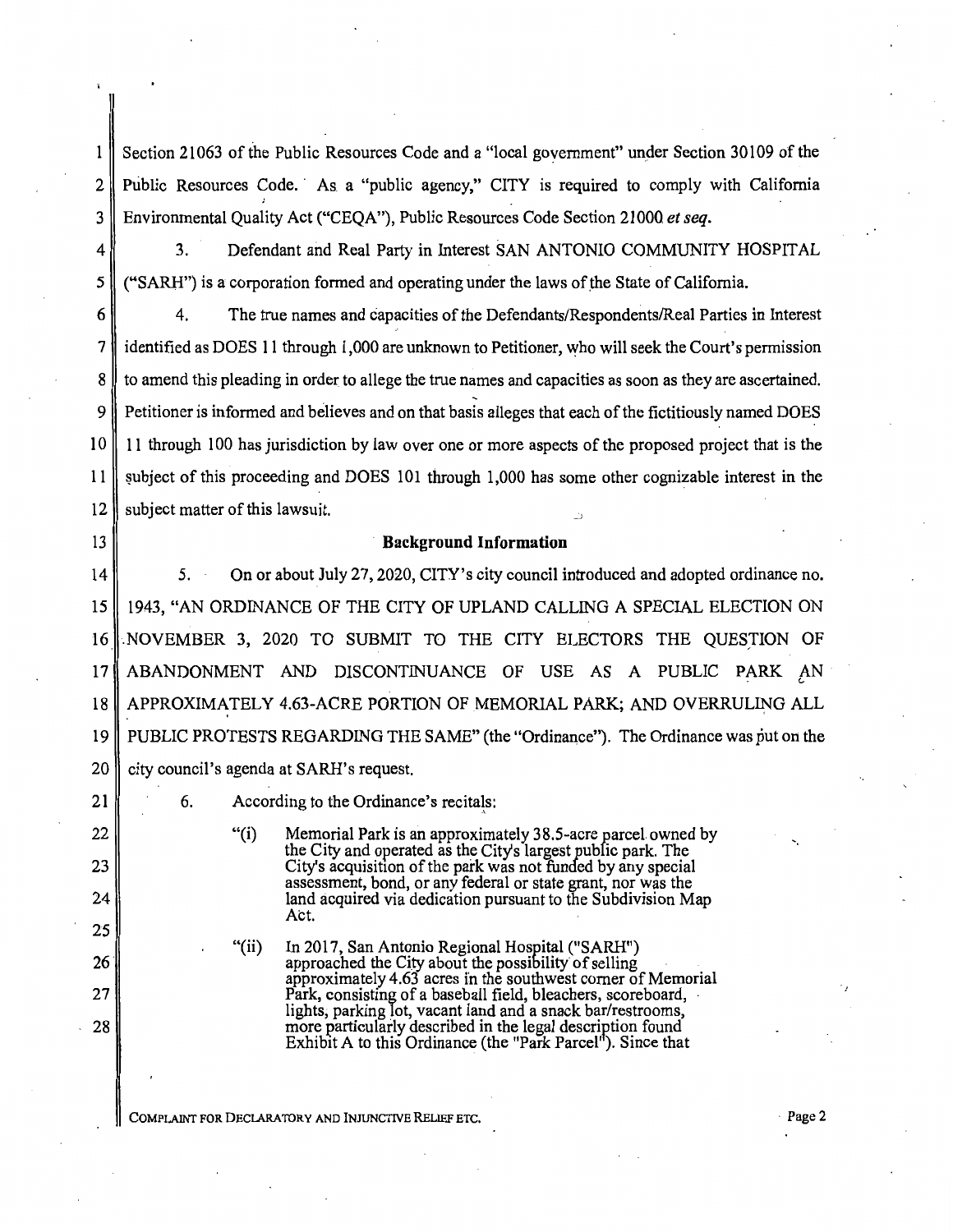Section 21063 of the Public Resources Code and a "local government" under Section 30109 of the  $\mathbf{1}$ 2 Public Resources Code. As a "public agency," CITY is required to comply with California 3 Environmental Quality Act ("CEQA"), Public Resources Code Section 21000 *et seq.* 

4 3. Defendant and Real Party in Interest SAN ANTONIO COMMUNITY HOSPITAL  $5 \parallel$  ("SARH") is a corporation formed and operating under the laws of the State of California.

6 4. The true names and capacities of the Defendants/Respondents/Real Parties in Interest 7 | identified as DOES 11 through 1,000 are unknown to Petitioner, who will seek the Court's permission 8 to amend this pleading in order to allege the true names and capacities as soon as they are ascertained. 9 Petitioner is informed and believes and on that basis alleges that each of the fictitiously named DOES  $10$  11 through 100 has jurisdiction by law over one or more aspects of the proposed project that is the 11 subject of this proceeding and DOES 101 through 1,000 has some other cognizable interest in the  $12$  subject matter of this lawsuit.

### 13 **Background Information**

14 || 5. On or about July 27, 2020, CITY's city council introduced and adopted ordinance no. 15 1943, "AN ORDINANCE OF THE CITY OF UPLAND CALLING A SPECIAL ELECTION ON 16 NOVEMBER 3, 2020 TO SUBMIT TO THE CITY ELECTORS THE QUESTION OF 17 || ABANDONMENT AND DISCONTINUANCE OF USE AS A PUBLIC PARK AN 18 APPROXIMATELY 4.63-ACRE PORTION OF MEMORIAL PARK; AND OVERRULING ALL 19 PUBLIC PROTESTS REGARDING THE SAME" (the "Ordinance"). The Ordinance was put on the  $20$  city council's agenda at SARH's request.

21

22

23

24

25

26

27

28

6. According to the Ordinance's recitals:

"(i) Memorial Park is an approximately 38.5-acre parcel. owned by the City and operated as the Citys largest public park. The City's acquisition of the park was not funded by any special assessment, bond, or any federal or state grant, nor was the land acquired via dedication pursuant to the Subdivision Map Act.

"(ii) In 2017, San Antonio Regional Hospital ("SARH") approached the City about the possibility of selling approximately 4.63 acres in the southwest corner of Memorial Park, consisting of a baseball field, bleachers, scoreboard, lights, parking lot, vacant land and a snack bar/restrooms, lights, parking lot, vacant land and a snack bar/restrooms, more particularly described in the legal description found Exhibit A to this Ordinance (the "Park Parcel"). Since that

COMPLAINT FOR DECLARATORY AND lNJUNCTNE RELlEF ETC.

·,

-.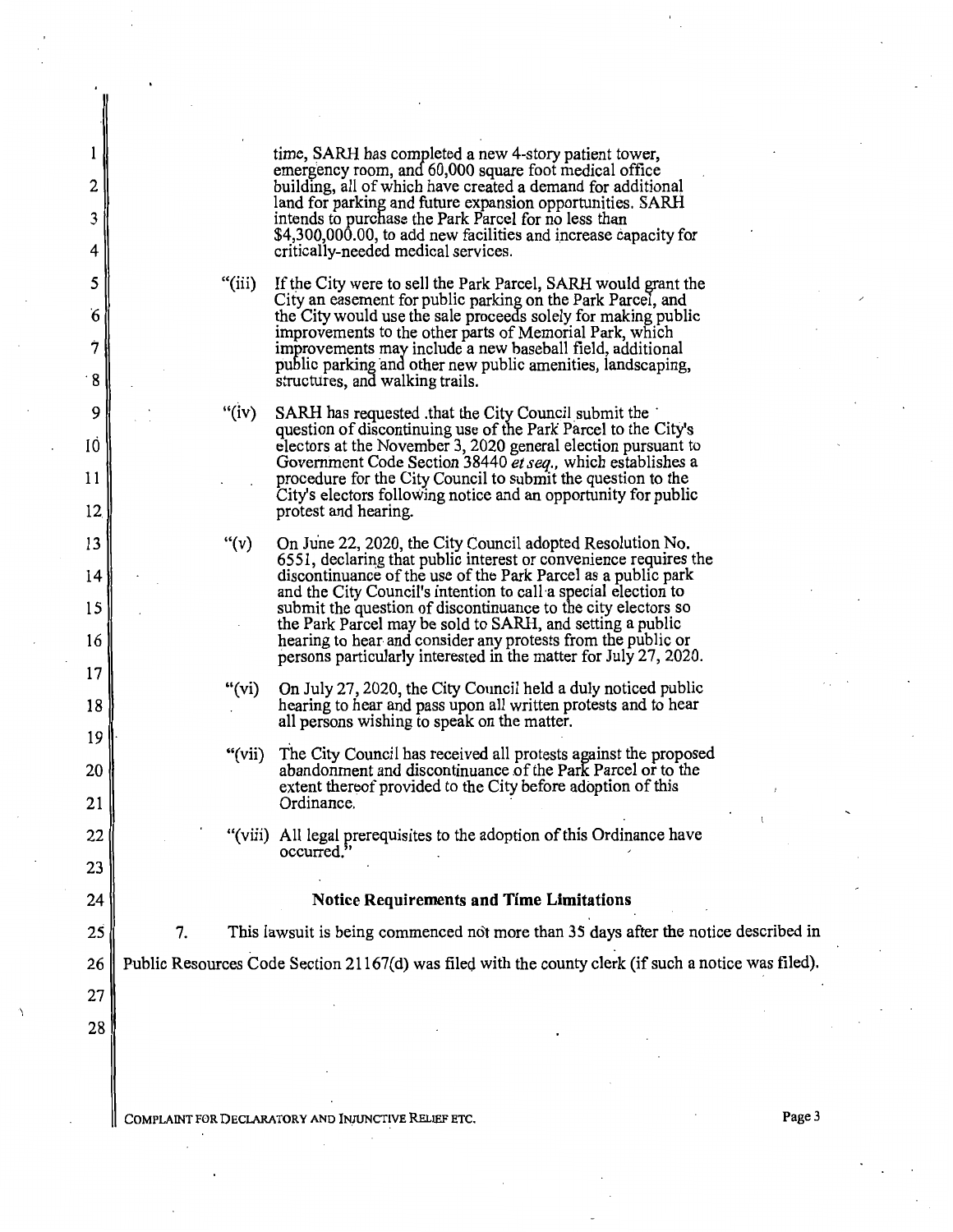|           |    |          | time, SARH has completed a new 4-story patient tower,                                                                                                                                   |
|-----------|----|----------|-----------------------------------------------------------------------------------------------------------------------------------------------------------------------------------------|
| 2         |    |          | emergency room, and 60,000 square foot medical office<br>building, all of which have created a demand for additional                                                                    |
| 3         |    |          | land for parking and future expansion opportunities. SARH<br>intends to purchase the Park Parcel for no less than                                                                       |
| 4         |    |          | \$4,300,000.00, to add new facilities and increase capacity for<br>critically-needed medical services.                                                                                  |
| 5         |    | "(iii)"  | If the City were to sell the Park Parcel, SARH would grant the                                                                                                                          |
| 6         |    |          | City an easement for public parking on the Park Parcel, and<br>the City would use the sale proceeds solely for making public<br>improvements to the other parts of Memorial Park, which |
| 7         |    |          | improvements may include a new baseball field, additional<br>public parking and other new public amenities, landscaping,                                                                |
| $\cdot$ 8 |    |          | structures, and walking trails.                                                                                                                                                         |
| 9         |    | " $(iv)$ | SARH has requested that the City Council submit the<br>question of discontinuing use of the Park Parcel to the City's                                                                   |
| 10        |    |          | electors at the November 3, 2020 general election pursuant to<br>Government Code Section 38440 et seq., which establishes a                                                             |
| 11<br>12  |    |          | procedure for the City Council to submit the question to the<br>City's electors following notice and an opportunity for public<br>protest and hearing.                                  |
| 13        |    | " $(v)$  | On June 22, 2020, the City Council adopted Resolution No.                                                                                                                               |
| 14        |    |          | 6551, declaring that public interest or convenience requires the<br>discontinuance of the use of the Park Parcel as a public park                                                       |
| 15        |    |          | and the City Council's intention to call a special election to<br>submit the question of discontinuance to the city electors so                                                         |
| 16        |    |          | the Park Parcel may be sold to SARH, and setting a public<br>hearing to hear and consider any protests from the public or                                                               |
| 17        |    | "(vi)"   | persons particularly interested in the matter for July 27, 2020.<br>On July 27, 2020, the City Council held a duly noticed public                                                       |
| 18        |    |          | hearing to hear and pass upon all written protests and to hear<br>all persons wishing to speak on the matter.                                                                           |
| 19        |    | "(vii)   | The City Council has received all protests against the proposed                                                                                                                         |
| 20        |    |          | abandonment and discontinuance of the Park Parcel or to the<br>extent thereof provided to the City before adoption of this                                                              |
| 21        |    |          | Ordinance.                                                                                                                                                                              |
| 22<br>23  |    |          | "(viii) All legal prerequisites to the adoption of this Ordinance have<br>occurred.                                                                                                     |
| 24        |    |          | <b>Notice Requirements and Time Limitations</b>                                                                                                                                         |
| 25        | 7. |          | This lawsuit is being commenced not more than 35 days after the notice described in                                                                                                     |
| 26        |    |          | Public Resources Code Section 21167(d) was filed with the county clerk (if such a notice was filed).                                                                                    |
| 27        |    |          |                                                                                                                                                                                         |
| 28        |    |          |                                                                                                                                                                                         |
|           |    |          |                                                                                                                                                                                         |
|           |    |          | Page 3<br>COMPLAINT FOR DECLARATORY AND INJUNCTIVE RELIEF ETC.                                                                                                                          |
|           |    |          |                                                                                                                                                                                         |

 $\bar{z}$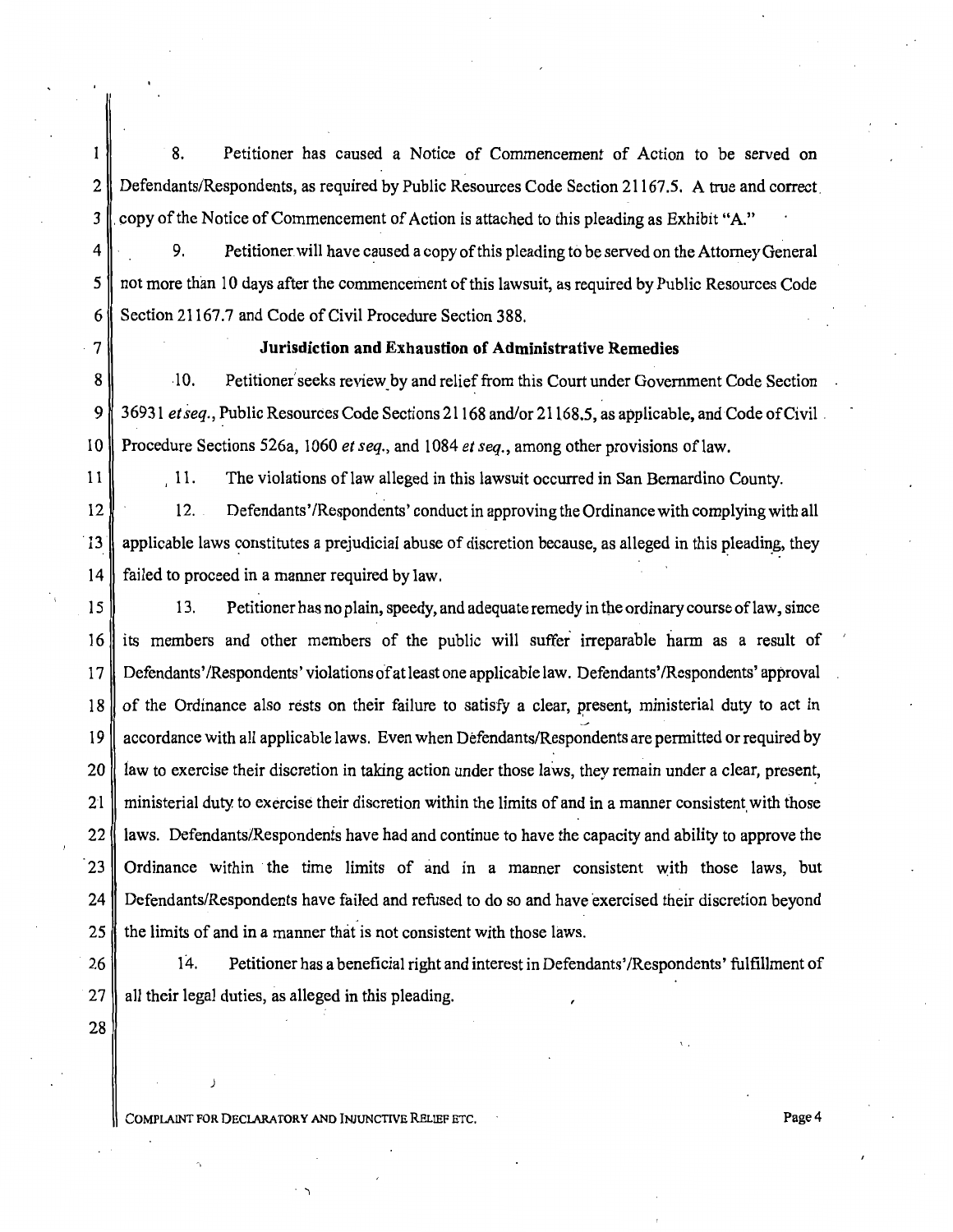$\mathbf{I}$ 8. Petitioner has caused a Notice of Commencement of Action to be served on 2 Defendants/Respondents, as required by Public Resources Code Section 21167.5. A true and correct. 3 copy of the Notice of Commencement of Action is attached to this pleading as Exhibit "A."

4 9. Petitioner will have caused a copy of this pleading to be served on the Attorney General  $5 \parallel$  not more than 10 days after the commencement of this lawsuit, as required by Public Resources Code 6 Section 21167.7 and Code of Civil Procedure Section 388.

## 7 **Jurisdiction and Exhaustion of Administrative Remedies**

8 -10. Petitioner's eeks review by and relief from this Court under Government Code Section 9 36931 *et seq.*, Public Resources Code Sections 21168 and/or 21168.5, as applicable, and Code of Civil . 10 Procedure Sections 526a, 1060 *et seq.,* and 1084 *et seq.,* among other provisions oflaw.

11

11. The violations of law alleged in this lawsuit occurred in San Bernardino County.

12 12. Defendants' /Respondents' conduct in approving the Ordinance with complying with all 13 applicable laws constitutes a prejudicial abuse of discretion because, as alleged in this pleading, they 14 failed to proceed in a manner required by law.

15 13. Petitioner has no plain, speedy, and adequate remedy in the ordinary course of law, since 16 its members and other members of the public will suffer irreparable harm as a result of 17 Defendants' /Respondents' violations of at least one applicable law. Defendants' /Respondents' approval 18 of the Ordinance also rests on their failure to satisfy a clear, present, ministerial duty to act in 19 accordance with all applicable laws. Even when Defendants/Respondents are permitted or required by 20 all law to exercise their discretion in taking action under those laws, they remain under a clear, present, 21 ministerial duty to exercise their discretion within the limits of and in a manner consistent with those 22 | laws. Defendants/Respondents have had and continue to have the capacity and ability to approve the 23 Ordinance within the time limits of and in a manner consistent with those laws, but 24 Defendants/Respondents have failed and refused to do so and have exercised their discretion beyond 25 the limits of and in a manner that is not consistent with those laws.

26 27

14. Petitioner has a beneficial right and interest in Defendants' /Respondents' fulfillment of all their legal duties, as alleged in this pleading.

28

COMPLAINT FOR DECLARATORY AND INJUNCTIVE RELIEF ETC. THE PAGE OF PAGE OF PAGE 4

 $\cdot$  '1

 $\mathbf{L}$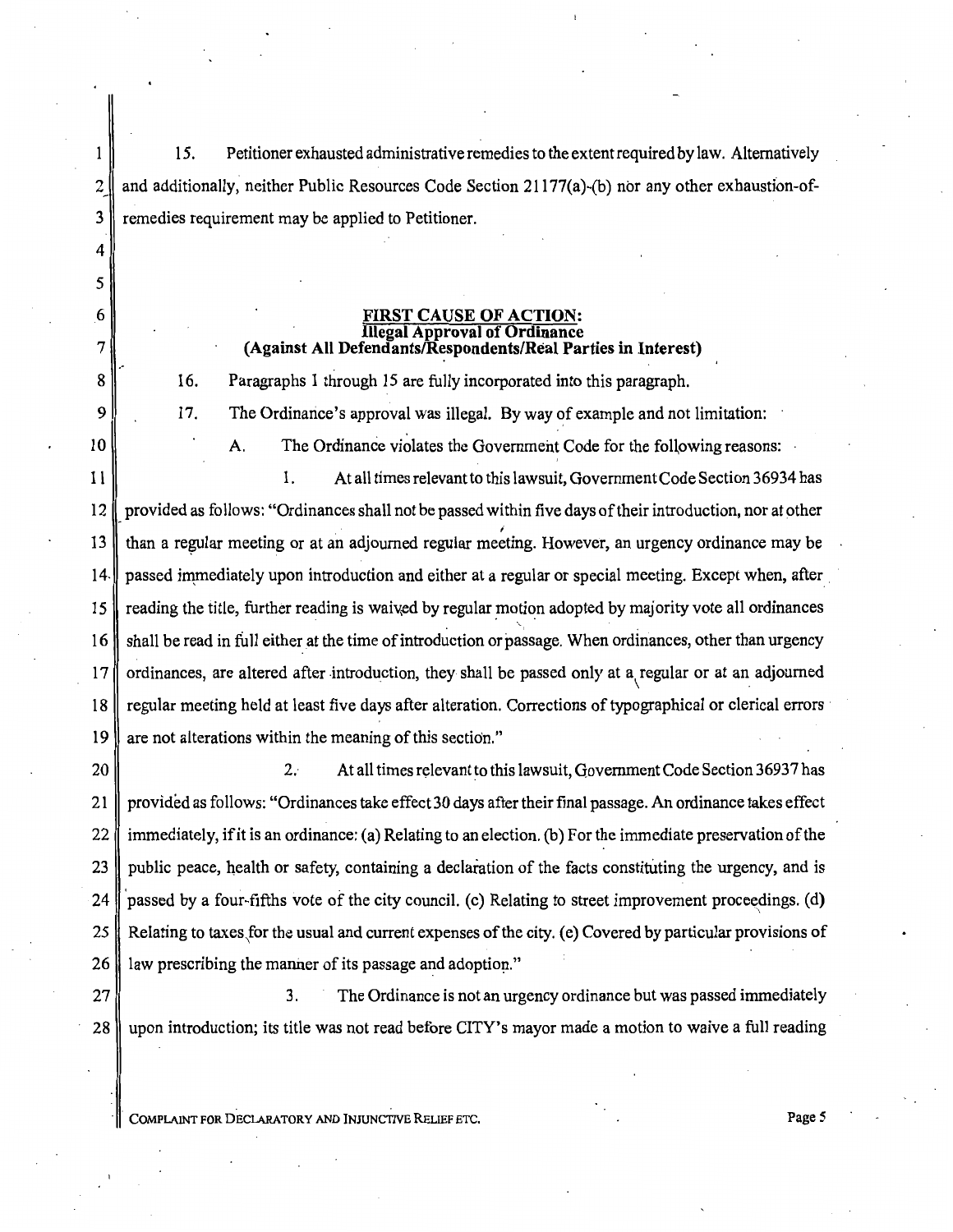15. Petitioner exhausted administrative remedies to the ex tent required by law. Alternatively 2 and additionally, neither Public Resources Code Section 21177(a)-(b) nor any other exhaustion-of-3 remedies requirement may be applied to Petitioner.

#### FIRST CAUSE OF ACTION: Illegal Approval of Ordinance (Against All Defendants/Respondents/Real Parties in Interest)

16. Paragraphs 1 through 15 are fully incorporated into this paragraph.

4

 $\mathbf{1}$ 

*5* 

6

7

8

9

10

17. The Ordinance's approval was illegal. By way of example and not limitation:

A. The Ordinance violates the Government Code for the following reasons:

11 1. At all times relevant to this lawsuit, Government Code Section 36934 has 12 provided as follows: "Ordinances shall not be passed within five days of their introduction, nor at other I 13 than a regular meeting or at an adjourned regular meeting. However, an urgency ordinance may be 14. passed immediately upon introduction and either at a regular or special meeting. Except when, after 15  $\parallel$  reading the title, further reading is waived by regular motion adopted by majority vote all ordinances  $16 \parallel$  shall be read in full either at the time of introduction or passage. When ordinances, other than urgency 17 ordinances, are altered after introduction, they shall be passed only at a regular or at an adjourned 18 regular meeting held at least five days after alteration. Corrections of typographical or clerical errors 19 are not alterations within the meaning of this section."

20 || 2. At all times relevant to this lawsuit, Government Code Section 36937 has 21 provided as follows: "Ordinances take effect 30 days after their final passage. An ordinance takes effect 22  $\parallel$  immediately, if it is an ordinance: (a) Relating to an election. (b) For the immediate preservation of the 23 public peace, health or safety, containing a declaration of the facts constituting the urgency, and is 24  $\parallel$  passed by a four-fifths vote of the city council. (c) Relating to street improvement proceedings. (d) 25 Relating to taxes\for the usual and current expenses of the city. (e) Covered by particular provisions of 26 law prescribing the manner of its passage and adoption."

27  $\parallel$  3. The Ordinance is not an urgency ordinance but was passed immediately 28 upon introduction; its title was not read before CITY's mayor made a motion to waive a full reading

COMPLAINT FOR DECLARATORY AND INJUNCTIVE RELIEF ETC. Page 5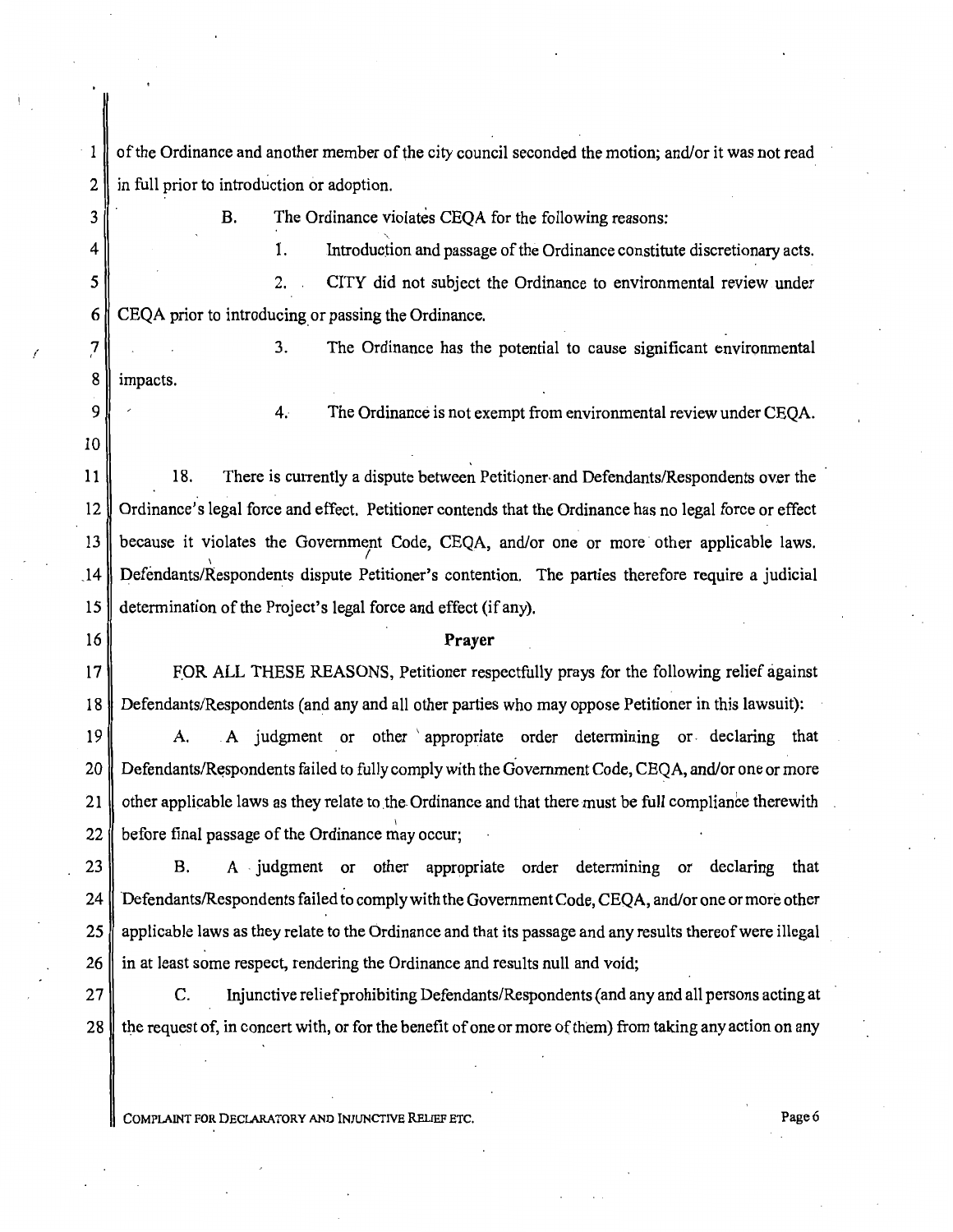of the Ordinance and another member of the city council seconded the motion; and/or it was not read  $\mathbf{1}$  $2 \parallel$  in full prior to introduction or adoption.

3

/

B. The Ordinance violates CEQA for the following reasons: 1. ' Introduction and passage of the Ordinance constitute discretionary acts.

2. CITY did not subject the Ordinance to environmental review under 6 CEQA prior to introducing or passing the Ordinance.

8 | impacts. 3. The Ordinance has the potential to cause significant environmental

4. The Ordinance is not exempt from environmental review under CEQA.

 $11$  18. There is currently a dispute between Petitioner· and Defendants/Respondents over the 12 Ordinance's legal force and effect. Petitioner contends that the Ordinance has no legal force or effect 13 because it violates the Government Code, CEQA, and/or one or more other applicable laws.  $14$  Defendants/Respondents dispute Petitioner's contention. The parties therefore require a judicial 15 determination of the Project's legal force and effect (if any).

#### 16 **Prayer**

17 FOR ALL THESE REASONS, Petitioner respectfully prays for the following relief against 18 Defendants/Respondents (and any and all other parties who may oppose Petitioner in this lawsuit):

19 || A. A judgment or other appropriate order determining or declaring that 20 Defendants/Respondents failed to fully comply with the Government Code, CEQA, and/or one or more 21  $\parallel$  other applicable laws as they relate to the Ordinance and that there must be full compliance therewith I 22  $\parallel$  before final passage of the Ordinance may occur;

23 B. A judgment or other appropriate order determining or declaring that 24 Defendants/Respondents failed to comply with the Government Code, CEQA, and/or one or more other 25 applicable laws as they relate to the Ordinance and that its passage and any results thereof were illegal  $26$  in at least some respect, rendering the Ordinance and results null and void;

27 C. Injunctive relief prohibiting Defendants/Respondents (and any and all persons acting at 28 the request of, in concert with, or for the benefit of one or more of them) from taking any action on any

COMPLAINT FOR DECLARATORY AND INJUNCTIVE RELIEF ETC. Page6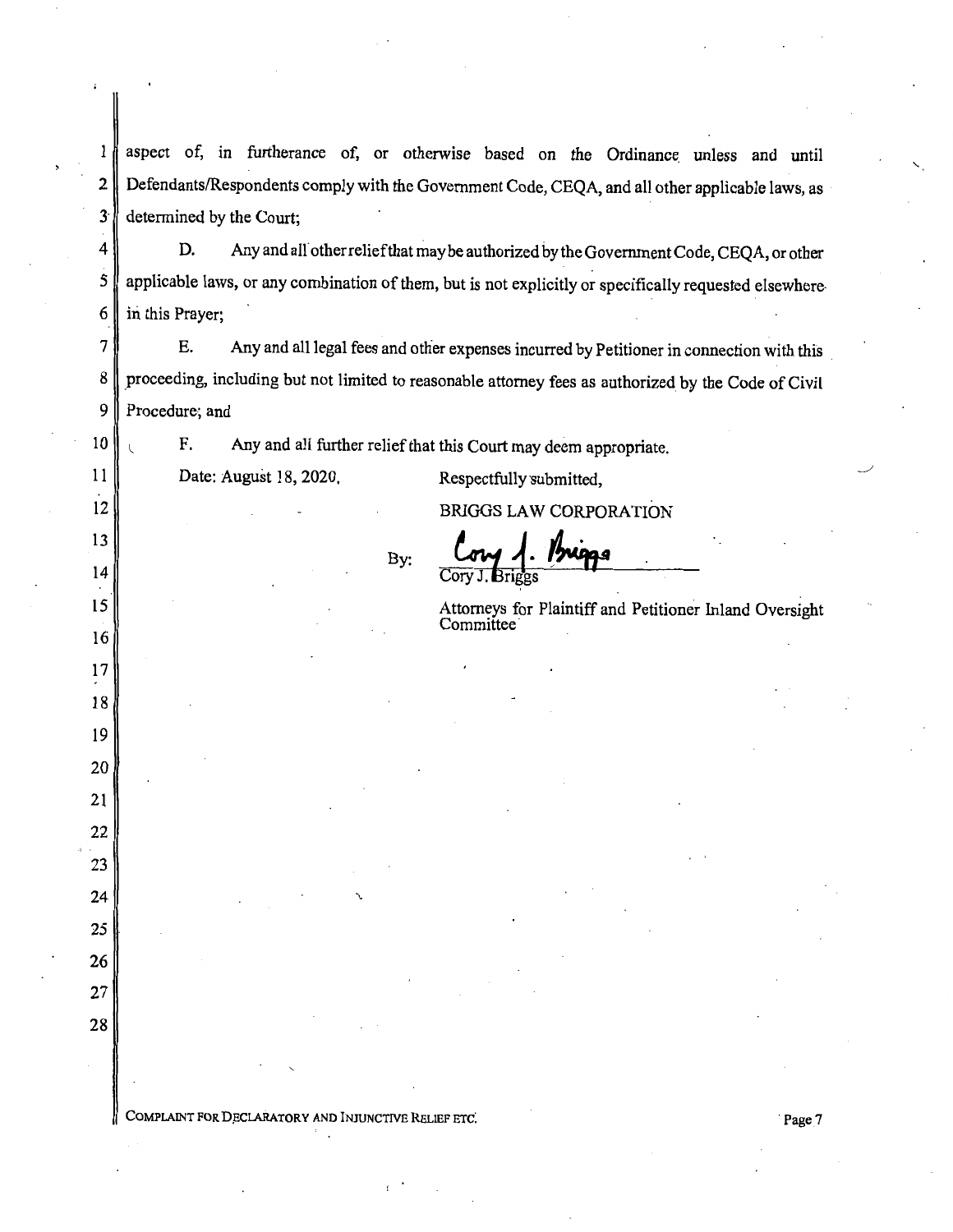1 aspect of, in furtherance of, or otherwise based on the Ordinance unless and until 2 Defendants/Respondents comply with the Government Code, CEQA, and all other applicable laws, as  $3 \parallel$  determined by the Court;

4 D. Any and all other relief that may be authorized by the Government Code, CEQA, or other 5 applicable laws, or any combination of them, but is not explicitly or specifically requested elsewhere-6  $\parallel$  in this Prayer;

7 E. Any and all legal fees and other expenses incurred by Petitioner in connection with this 8 proceeding, including but not limited to reasonable attorney fees as authorized by the Code of Civil 9 Procedure; and

F. Any and all further relief that this Court may deem appropriate.

By:

Date: August 18, 2020.

10

11

12

13

14

15

16

17

18

19

20

21

22

23

24

25

26

27

28

Respectfully submitted,

**BRIGGS LAW CORPORATION** 

Cory J. Briggs

Attorneys for Plaintiff and Petitioner Inland Oversight Committee·

COMPLAINT FOR DECLARATORY AND INJUNCTIVE RELIEF ETC. The contract of the contract of the Page 7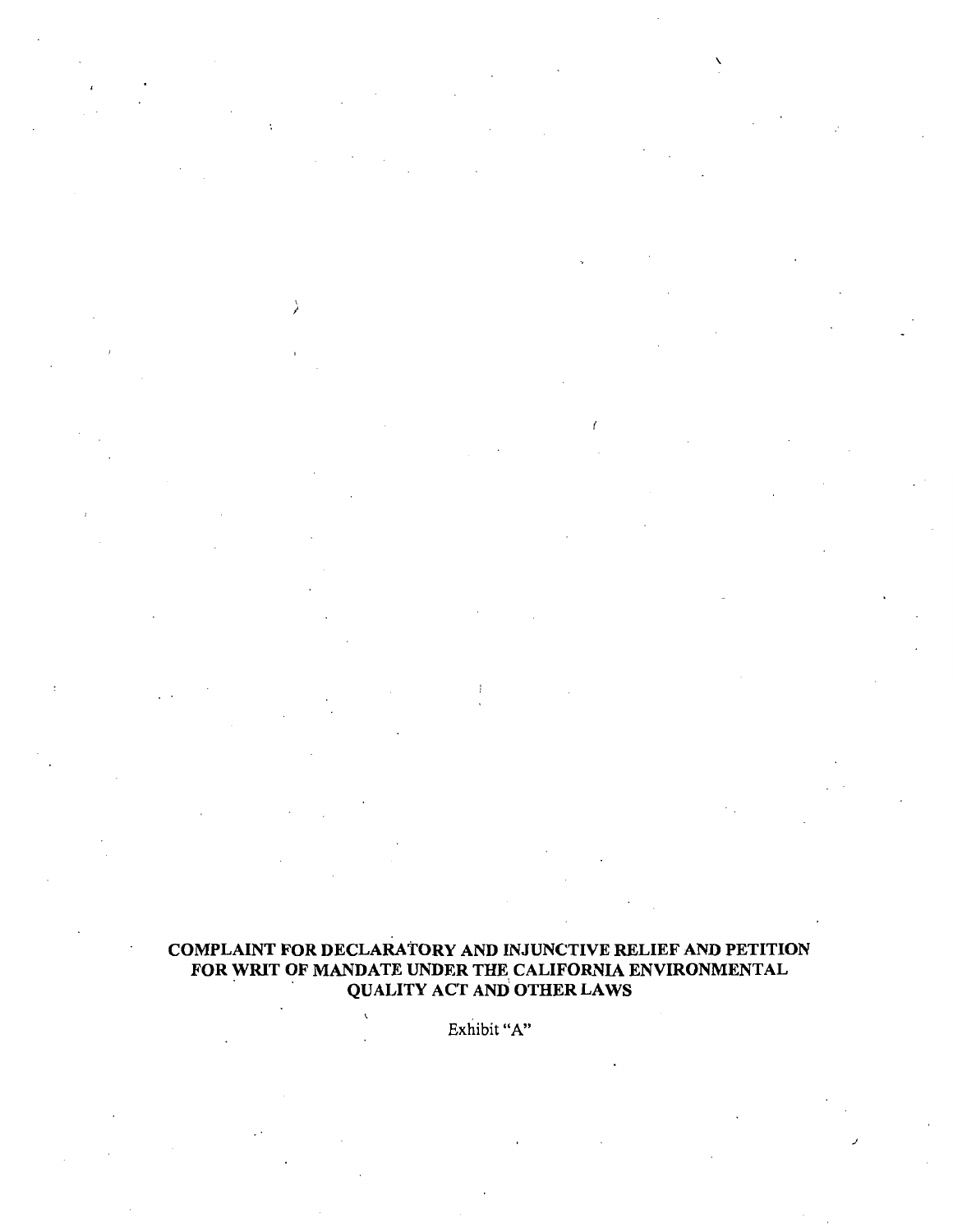# COMPLAINT FOR DECLARATORY AND INJUNCTIVE RELIEF AND PETITION FOR WRIT OF MANDATE UNDER THE CALIFORNIA ENVIRONMENTAL QUALITY ACT AND OTHER LAWS

 $\lambda$ 

'

Í

.J

Exhibit "A"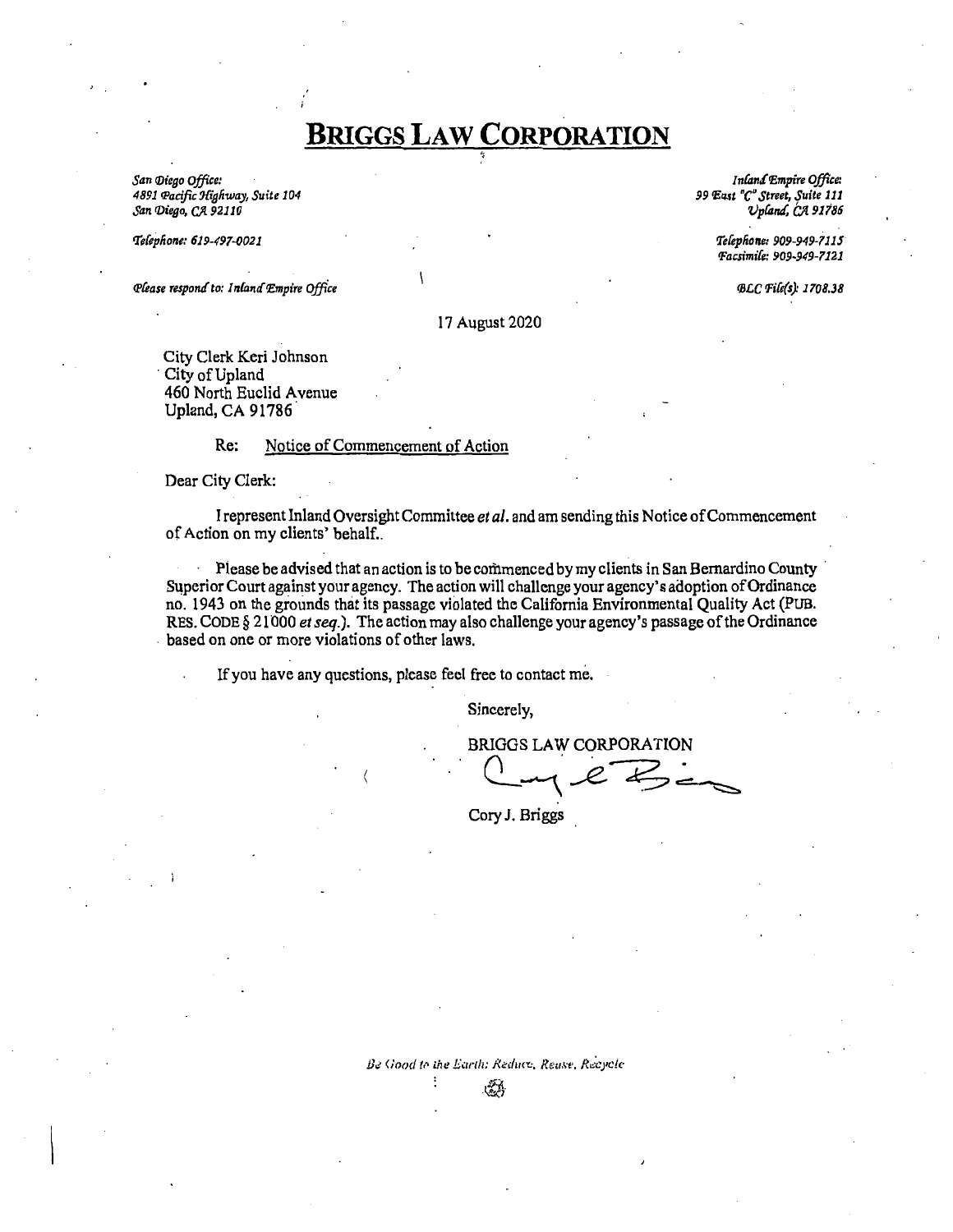# **BRIGGS LAW CORPORATION**

*San f/Jiego Office: 4891 fPacific !J{igfiway, Suite 104*   $San$  *Diego, CA* 92110

*tfefepfione: 619-49l-!J021* 

*Qlease respond to: Inland Empire Office* 

*In£'antft£mpire Office:*  99 *East* "C" Street, Suite 111  $v$ *pland*,  $\alpha$  91786

> *tfefepfione: 909-949-1115 fFacsimik: 909-949-1121*

> > *CBl.C IJ'i{e(s): 1108.38*

#### 17 August 2020

City Clerk Keri Johnson City of Upland 460 North Euclid A venue Upland, CA 91786.

#### Re: Notice of Commencement of Action

Dear City Clerk:

I represent Inland Oversight Committee *et al.* and am sending this Notice of Commencement of Action on my clients' behalf...

Please be advised that an action is to be commenced by my clients in San Bernardino County Superior Court against your agency. The action will challenge your agency's adoption of Ordinance no. 1943 on the grounds that its passage violated the California Environmental Quality Act (PUB. RES. CODE§ 21000 *et seq.).* The action may also challenge your agency's passage of the Ordinance . based on one or more violations of other laws.

If you have any questions, please feel free to contact me.

Sincerely,

BRIGGS LAW CORPORATION  $e<sub>em</sub>$ 

Cory J. Briggs

Be Good to the Earth: Reduce, Rease, Recycle -~·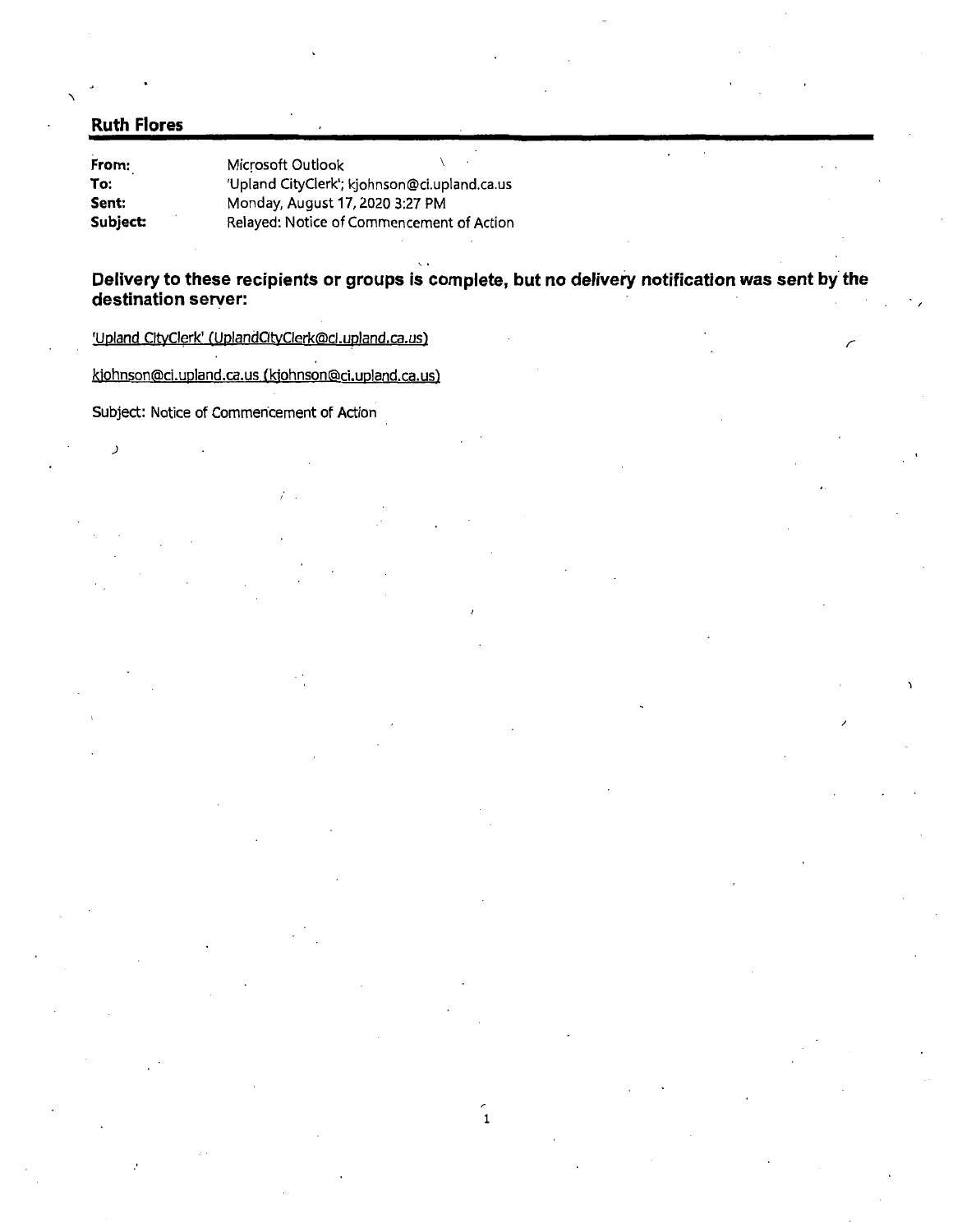# **Ruth Flores**

)

**From: To: Sent:**  Subject: Microsoft Outlook 'Upland CityCierk'; kjohnson@ci.upland.ca.us Monday, August 17, 2020 3:27 PM Relayed: Notice of Commencement of Action

Delivery to these recipients or groups is complete, but no delivery notification was sent by the **destination server:** 

'Upland CltyCierk' (UplandCitvCierk@cl.upland.ca. us)

kjohnson@ci.upland.ca.us (kjohnson@ci.upland.ca.us)

Subject: Notice of Commencement of Action

/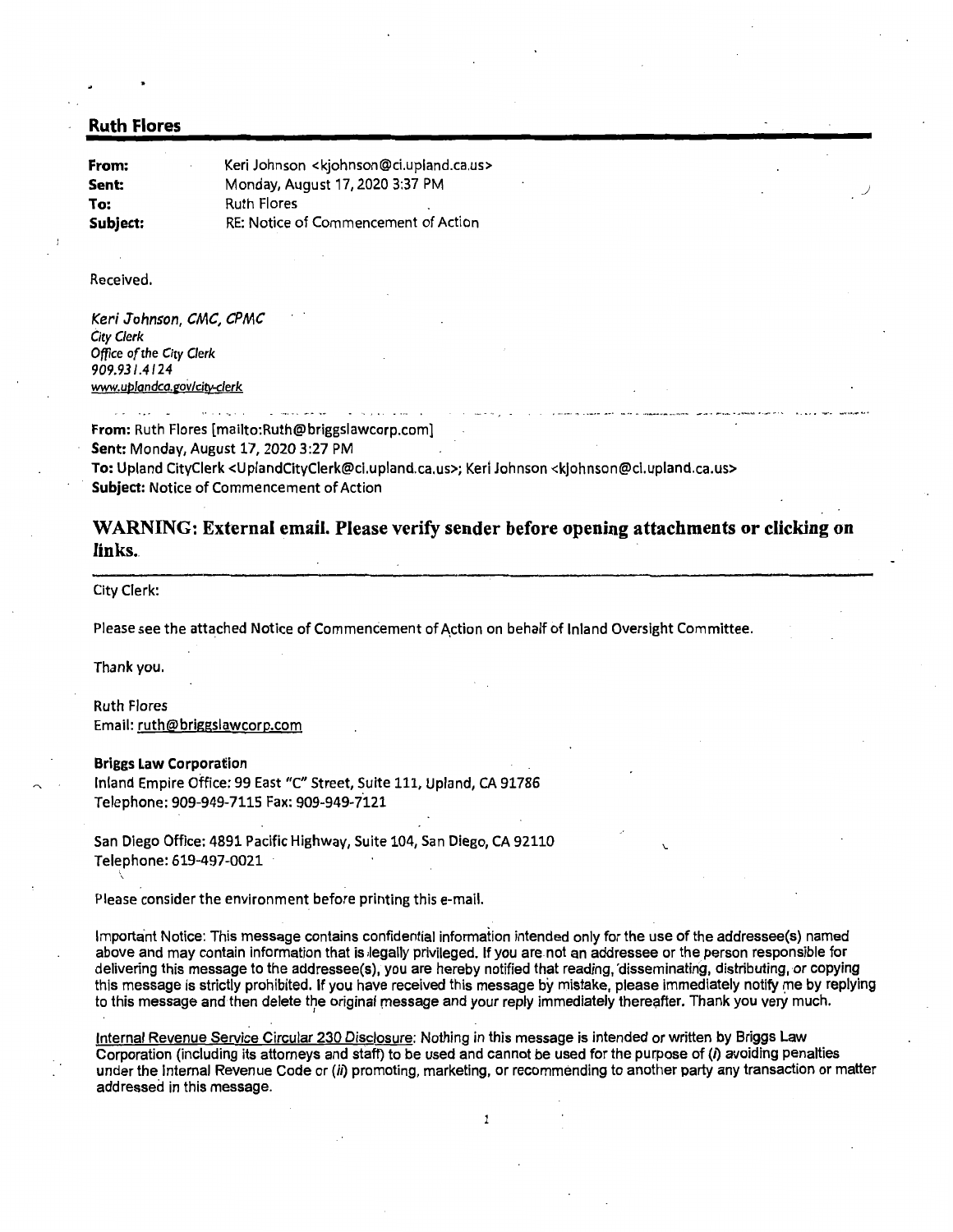#### Ruth Flores

| From:    | Keri Johnson <kjohnson@ci.upland.ca.us></kjohnson@ci.upland.ca.us> |
|----------|--------------------------------------------------------------------|
| Sent:    | Monday, August 17, 2020 3:37 PM                                    |
| To:      | <b>Ruth Flores</b><br>٠                                            |
| Subject: | RE: Notice of Commencement of Action                               |

#### Received.

Keri Johnson, CMC, CPMC *City Clerk Office of the City Clerk*  909.93/.4124 www.uplandca.gov/city-clerk

From: Ruth Flores (mailto:Ruth@briggslawcorp.com]

Sent: Monday, August 17, 2020 3:27PM

To: Upland CityCierk <UplandCityCierk@ci.upland.ca.us>; Kerl Johnson <kjohnson@cl.upland.ca.us> Subject: Notice of Commencement of Action

## WARNING: External email. Please verify sender before opening attachments or clicking on links.

City Clerk:

Please see the attached Notice of Commencement of Action on behalf of Inland Oversight Committee.

Thank you.

\

Ruth Flores Email: ruth@briggslawcorp.com

#### Briggs Law Corporation

Inland Empire Office: 99 East "C" Street, Suite 111, Upland, CA 91786 Telephone: 909-949-7115 Fax: 909-949-7121

San Diego Office: 4891 Pacific Highway, Suite 104, San Diego, CA 92110 Telephone: 619-497-0021

Please consider the environment before printing this e-mail.

Important Notice: This message contains confidential information intended only for the use of the addressee(s) named above and may contain information that is legally privileged. If you are not an addressee or the person responsible for delivering this message to the addressee(s), you are hereby notified that reading, 'disseminating, distributing, or copying this message is strictly prohibited. If you have received this message by mistake, please immediately notify me by replying to this message and then delete the original message and your reply immediately thereafter. Thank you very much.

\.

Internal Revenue Service Circular 230 Disclosure: Nothing in this message is intended or written by Briggs Law Corporation (including its attorneys and staff) to be used and cannot be used for the purpose of (i) avoiding penalties under the Internal Revenue Code or (ii) promoting, marketing, or recommending to another party any transaction or matter addressed in this message.

 $\mathbf{1}$